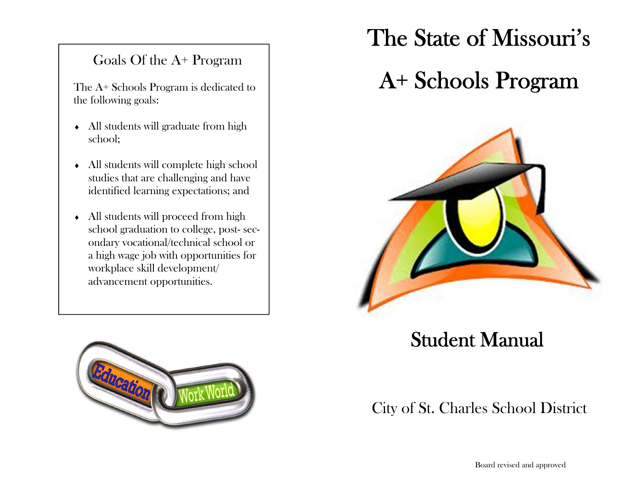### Goals Of the A+ Program

The A+ Schools Program is dedicated to the following goals:

- All students will graduate from high school;
- All students will complete high school studies that are challenging and have identified learning expectations; and
- All students will proceed from high school graduation to college, post- secondary vocational/technical school or a high wage job with opportunities for workplace skill development/ advancement opportunities.



# The State of Missouri's

# A+ Schools Program



### Student Manual

### City of St. Charles School District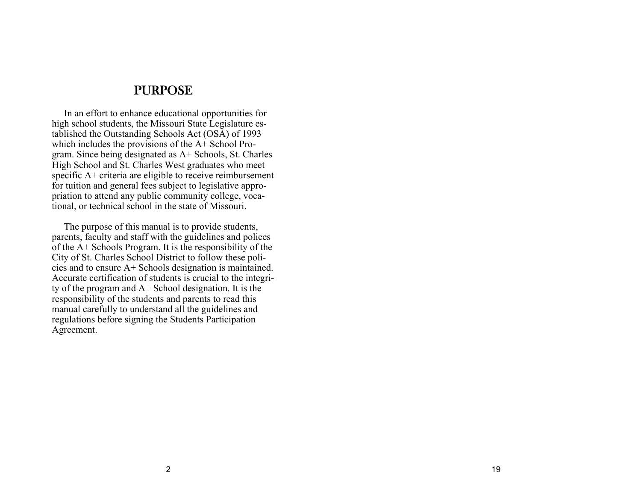#### PURPOSE

 In an effort to enhance educational opportunities for high school students, the Missouri State Legislature established the Outstanding Schools Act (OSA) of 1993 which includes the provisions of the A+ School Program. Since being designated as A+ Schools, St. Charles High School and St. Charles West graduates who meet specific A+ criteria are eligible to receive reimbursement for tuition and general fees subject to legislative appropriation to attend any public community college, vocational, or technical school in the state of Missouri.

 The purpose of this manual is to provide students, parents, faculty and staff with the guidelines and polices of the A+ Schools Program. It is the responsibility of the City of St. Charles School District to follow these policies and to ensure A+ Schools designation is maintained. Accurate certification of students is crucial to the integrity of the program and A+ School designation. It is the responsibility of the students and parents to read this manual carefully to understand all the guidelines and regulations before signing the Students Participation Agreement.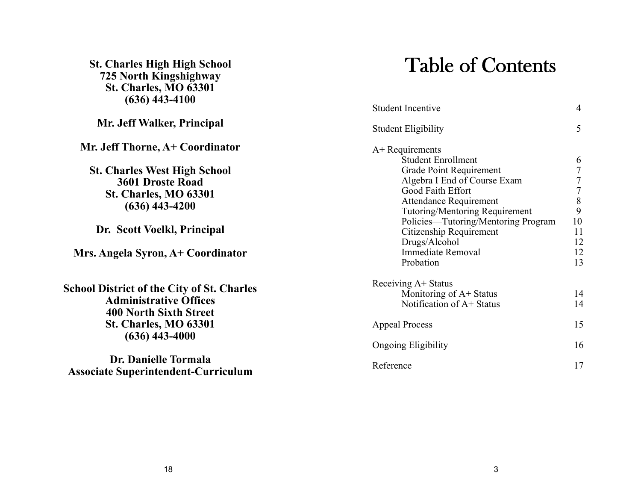| <b>St. Charles High High School</b><br>725 North Kingshighway<br><b>St. Charles, MO 63301</b><br>$(636)$ 443-4100   | <b>Table of Contents</b>                                                            |                                 |
|---------------------------------------------------------------------------------------------------------------------|-------------------------------------------------------------------------------------|---------------------------------|
|                                                                                                                     | <b>Student Incentive</b>                                                            | 4                               |
| Mr. Jeff Walker, Principal                                                                                          | <b>Student Eligibility</b>                                                          | 5                               |
| Mr. Jeff Thorne, A+ Coordinator                                                                                     | $A+$ Requirements<br><b>Student Enrollment</b>                                      | 6                               |
| <b>St. Charles West High School</b><br>3601 Droste Road                                                             | <b>Grade Point Requirement</b><br>Algebra I End of Course Exam<br>Good Faith Effort | $\frac{7}{7}$<br>$\overline{7}$ |
| <b>St. Charles, MO 63301</b><br>$(636)$ 443-4200                                                                    | Attendance Requirement<br>Tutoring/Mentoring Requirement                            | $\,8\,$<br>9                    |
| Dr. Scott Voelkl, Principal                                                                                         | Policies—Tutoring/Mentoring Program<br>Citizenship Requirement<br>Drugs/Alcohol     | $10\,$<br>11<br>12              |
| Mrs. Angela Syron, A+ Coordinator                                                                                   | <b>Immediate Removal</b><br>Probation                                               | 12<br>13                        |
| <b>School District of the City of St. Charles</b><br><b>Administrative Offices</b><br><b>400 North Sixth Street</b> | Receiving A+ Status<br>Monitoring of A+ Status<br>Notification of A+ Status         | 14<br>14                        |
| <b>St. Charles, MO 63301</b><br>$(636)$ 443-4000                                                                    | <b>Appeal Process</b>                                                               | 15                              |
|                                                                                                                     | <b>Ongoing Eligibility</b>                                                          | 16                              |
| Dr. Danielle Tormala<br><b>Associate Superintendent-Curriculum</b>                                                  | Reference                                                                           | 17                              |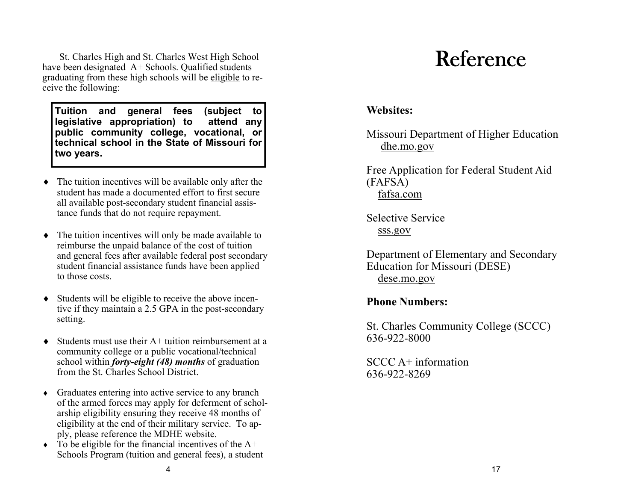St. Charles High and St. Charles West High School have been designated A+ Schools. Qualified students graduating from these high schools will be eligible to receive the following:

**Tuition and general fees (subject to legislative appropriation) to attend any public community college, vocational, or technical school in the State of Missouri for two years.**

- The tuition incentives will be available only after the student has made a documented effort to first secure all available post-secondary student financial assistance funds that do not require repayment.
- The tuition incentives will only be made available to reimburse the unpaid balance of the cost of tuition and general fees after available federal post secondary student financial assistance funds have been applied to those costs.
- Students will be eligible to receive the above incentive if they maintain a 2.5 GPA in the post-secondary setting.
- ٠ Students must use their A+ tuition reimbursement at a community college or a public vocational/technical school within *forty-eight (48) months* of graduation from the St. Charles School District.
- Graduates entering into active service to any branch of the armed forces may apply for deferment of scholarship eligibility ensuring they receive 48 months of eligibility at the end of their military service. To apply, please reference the MDHE website.
- $\bullet$  To be eligible for the financial incentives of the A+ Schools Program (tuition and general fees), a student

# Reference

### **Websites:**

Missouri Department of Higher Education dhe.mo.gov

Free Application for Federal Student Aid (FAFSA) fafsa.com

Selective Service sss.gov

Department of Elementary and Secondary Education for Missouri (DESE) dese.mo.gov

### **Phone Numbers:**

St. Charles Community College (SCCC) 636-922-8000

SCCC A+ information 636-922-8269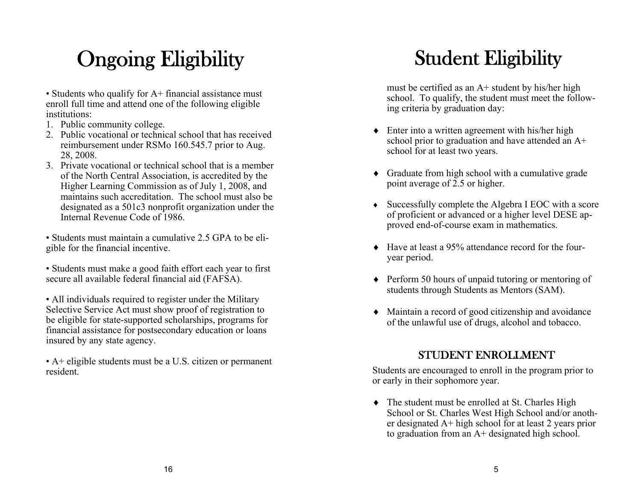# Ongoing Eligibility

• Students who qualify for A+ financial assistance must enroll full time and attend one of the following eligible institutions:

- 1. Public community college.
- 2. Public vocational or technical school that has received reimbursement under RSMo 160.545.7 prior to Aug. 28, 2008.
- 3. Private vocational or technical school that is a member of the North Central Association, is accredited by the Higher Learning Commission as of July 1, 2008, and maintains such accreditation. The school must also be designated as a 501c3 nonprofit organization under the Internal Revenue Code of 1986.

• Students must maintain a cumulative 2.5 GPA to be eligible for the financial incentive.

• Students must make a good faith effort each year to first secure all available federal financial aid (FAFSA).

• All individuals required to register under the Military Selective Service Act must show proof of registration to be eligible for state-supported scholarships, programs for financial assistance for postsecondary education or loans insured by any state agency.

• A+ eligible students must be a U.S. citizen or permanent resident.

## Student Eligibility

must be certified as an  $A+$  student by his/her high school. To qualify, the student must meet the following criteria by graduation day:

- ◆ Enter into a written agreement with his/her high school prior to graduation and have attended an A+ school for at least two years.
- Graduate from high school with a cumulative grade point average of 2.5 or higher.
- Successfully complete the Algebra I EOC with a score of proficient or advanced or a higher level DESE approved end-of-course exam in mathematics.
- Have at least a 95% attendance record for the fouryear period.
- ◆ Perform 50 hours of unpaid tutoring or mentoring of students through Students as Mentors (SAM).
- Maintain a record of good citizenship and avoidance of the unlawful use of drugs, alcohol and tobacco.

### STUDENT ENROLLMENT

Students are encouraged to enroll in the program prior to or early in their sophomore year.

• The student must be enrolled at St. Charles High School or St. Charles West High School and/or another designated A+ high school for at least 2 years prior to graduation from an A+ designated high school.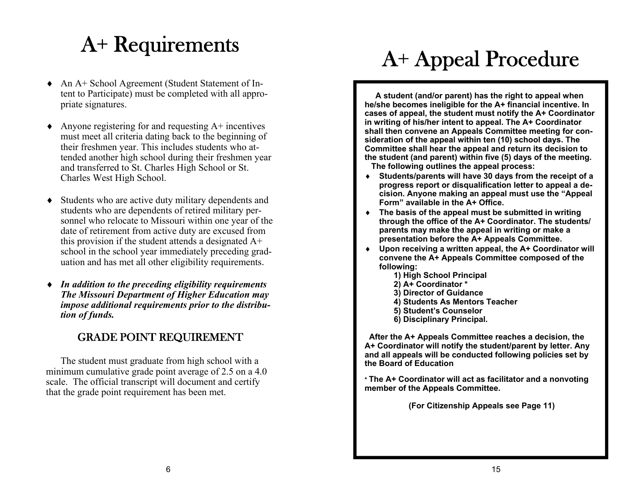# A+ Requirements

- $\blacklozenge$  An A+ School Agreement (Student Statement of Intent to Participate) must be completed with all appropriate signatures.
- ٠ Anyone registering for and requesting A+ incentives must meet all criteria dating back to the beginning of their freshmen year. This includes students who attended another high school during their freshmen year and transferred to St. Charles High School or St. Charles West High School.
- $\bullet$  Students who are active duty military dependents and students who are dependents of retired military personnel who relocate to Missouri within one year of the date of retirement from active duty are excused from this provision if the student attends a designated A+ school in the school year immediately preceding graduation and has met all other eligibility requirements.
- $\bullet$  *In addition to the preceding eligibility requirements The Missouri Department of Higher Education may impose additional requirements prior to the distribution of funds.*

### GRADE POINT REQUIREMENT

The student must graduate from high school with a minimum cumulative grade point average of 2.5 on a 4.0 scale. The official transcript will document and certify that the grade point requirement has been met.

# A+ Appeal Procedure

**A student (and/or parent) has the right to appeal when he/she becomes ineligible for the A+ financial incentive. In cases of appeal, the student must notify the A+ Coordinator in writing of his/her intent to appeal. The A+ Coordinator shall then convene an Appeals Committee meeting for consideration of the appeal within ten (10) school days. The Committee shall hear the appeal and return its decision to the student (and parent) within five (5) days of the meeting. The following outlines the appeal process:** 

- **Students/parents will have 30 days from the receipt of a progress report or disqualification letter to appeal a decision. Anyone making an appeal must use the "Appeal Form" available in the A+ Office.**
- **The basis of the appeal must be submitted in writing through the office of the A+ Coordinator. The students/ parents may make the appeal in writing or make a presentation before the A+ Appeals Committee.**
- ٠ **Upon receiving a written appeal, the A+ Coordinator will convene the A+ Appeals Committee composed of the following:** 
	- **1) High School Principal**
	- **2) A+ Coordinator \***
	- **3) Director of Guidance**
	- **4) Students As Mentors Teacher**
	- **5) Student's Counselor**
	- **6) Disciplinary Principal.**

 **After the A+ Appeals Committee reaches a decision, the A+ Coordinator will notify the student/parent by letter. Any and all appeals will be conducted following policies set by the Board of Education** 

**\* The A+ Coordinator will act as facilitator and a nonvoting member of the Appeals Committee.** 

 **(For Citizenship Appeals see Page 11)**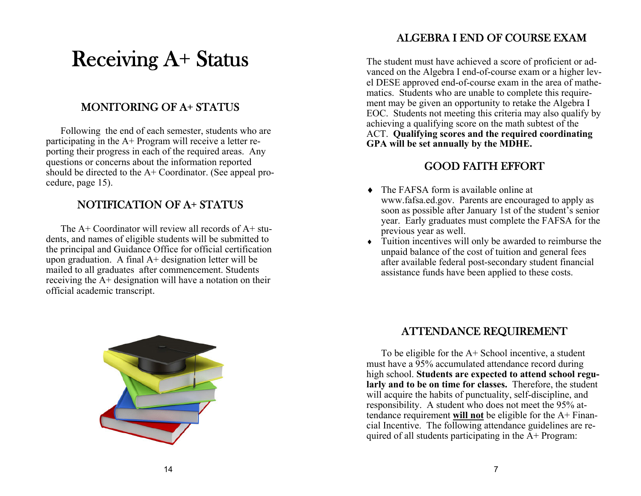### Receiving A+ Status

### MONITORING OF A+ STATUS

Following the end of each semester, students who are participating in the A+ Program will receive a letter reporting their progress in each of the required areas. Any questions or concerns about the information reported should be directed to the A+ Coordinator. (See appeal procedure, page 15).

### NOTIFICATION OF A+ STATUS

The  $A+$  Coordinator will review all records of  $A+$  students, and names of eligible students will be submitted to the principal and Guidance Office for official certification upon graduation. A final A+ designation letter will be mailed to all graduates after commencement. Students receiving the A+ designation will have a notation on their official academic transcript.



### ALGEBRA I END OF COURSE EXAM

The student must have achieved a score of proficient or advanced on the Algebra I end-of-course exam or a higher level DESE approved end-of-course exam in the area of mathematics. Students who are unable to complete this requirement may be given an opportunity to retake the Algebra I EOC. Students not meeting this criteria may also qualify by achieving a qualifying score on the math subtest of the ACT. **Qualifying scores and the required coordinating GPA will be set annually by the MDHE.**

### GOOD FAITH EFFORT

- $\bullet$  The FAFSA form is available online at www.fafsa.ed.gov. Parents are encouraged to apply as soon as possible after January 1st of the student's senior year. Early graduates must complete the FAFSA for the previous year as well.
- Tuition incentives will only be awarded to reimburse the unpaid balance of the cost of tuition and general fees after available federal post-secondary student financial assistance funds have been applied to these costs.

#### ATTENDANCE REQUIREMENT

To be eligible for the  $A+$  School incentive, a student must have a 95% accumulated attendance record during high school. **Students are expected to attend school regularly and to be on time for classes.** Therefore, the student will acquire the habits of punctuality, self-discipline, and responsibility. A student who does not meet the 95% attendance requirement **will not** be eligible for the A+ Financial Incentive. The following attendance guidelines are required of all students participating in the  $A+$  Program: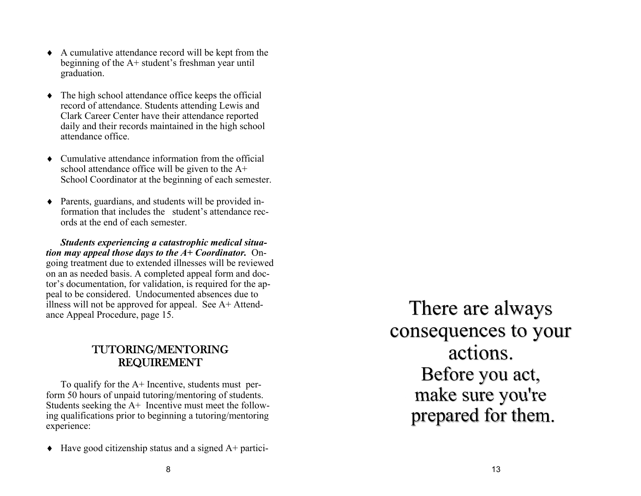- A cumulative attendance record will be kept from the beginning of the A+ student's freshman year until graduation.
- The high school attendance office keeps the official record of attendance. Students attending Lewis and Clark Career Center have their attendance reported daily and their records maintained in the high school attendance office.
- Cumulative attendance information from the official school attendance office will be given to the A+ School Coordinator at the beginning of each semester.
- Parents, guardians, and students will be provided information that includes the student's attendance records at the end of each semester.

*Students experiencing a catastrophic medical situation may appeal those days to the A+ Coordinator.* Ongoing treatment due to extended illnesses will be reviewed on an as needed basis. A completed appeal form and doctor's documentation, for validation, is required for the appeal to be considered. Undocumented absences due to illness will not be approved for appeal. See A+ Attendance Appeal Procedure, page 15.

### TUTORING/MENTORING REQUIREMENT

To qualify for the A+ Incentive, students must perform 50 hours of unpaid tutoring/mentoring of students. Students seeking the A+ Incentive must meet the following qualifications prior to beginning a tutoring/mentoring experience:

٠ Have good citizenship status and a signed A+ partici-

There are always consequences to your actions. Before you act, make sure you're prepared for them.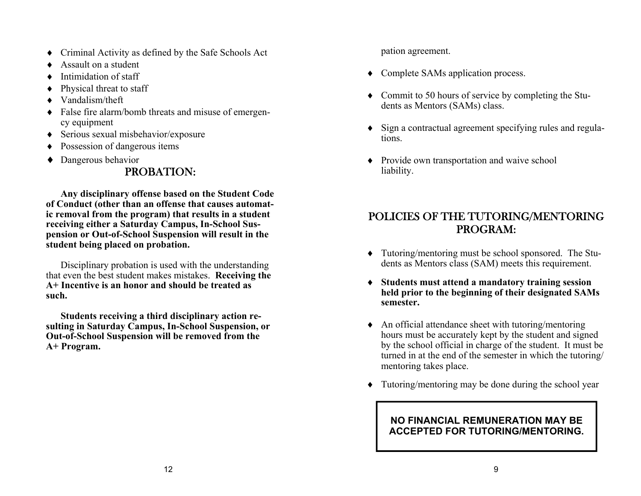- Criminal Activity as defined by the Safe Schools Act
- $\bullet$ Assault on a student
- $\bullet$ Intimidation of staff
- ٠ Physical threat to staff
- $\bullet$ Vandalism/theft
- False fire alarm/bomb threats and misuse of emergency equipment
- Serious sexual misbehavior/exposure
- $\blacklozenge$ Possession of dangerous items
- ◆ Dangerous behavior

### PROBATION:

**Any disciplinary offense based on the Student Code of Conduct (other than an offense that causes automatic removal from the program) that results in a student receiving either a Saturday Campus, In-School Suspension or Out-of-School Suspension will result in the student being placed on probation.** 

Disciplinary probation is used with the understanding that even the best student makes mistakes. **Receiving the A+ Incentive is an honor and should be treated as such.** 

**Students receiving a third disciplinary action resulting in Saturday Campus, In-School Suspension, or Out-of-School Suspension will be removed from the A+ Program.** 

pation agreement.

- Complete SAMs application process.
- Commit to 50 hours of service by completing the Students as Mentors (SAMs) class.
- Sign a contractual agreement specifying rules and regulations.
- Provide own transportation and waive school liability.

### POLICIES OF THE TUTORING/MENTORING PROGRAM:

- Tutoring/mentoring must be school sponsored. The Students as Mentors class (SAM) meets this requirement.
- **Students must attend a mandatory training session held prior to the beginning of their designated SAMs semester.**
- An official attendance sheet with tutoring/mentoring hours must be accurately kept by the student and signed by the school official in charge of the student. It must be turned in at the end of the semester in which the tutoring/ mentoring takes place.
- Tutoring/mentoring may be done during the school year

#### **NO FINANCIAL REMUNERATION MAY BE ACCEPTED FOR TUTORING/MENTORING.**